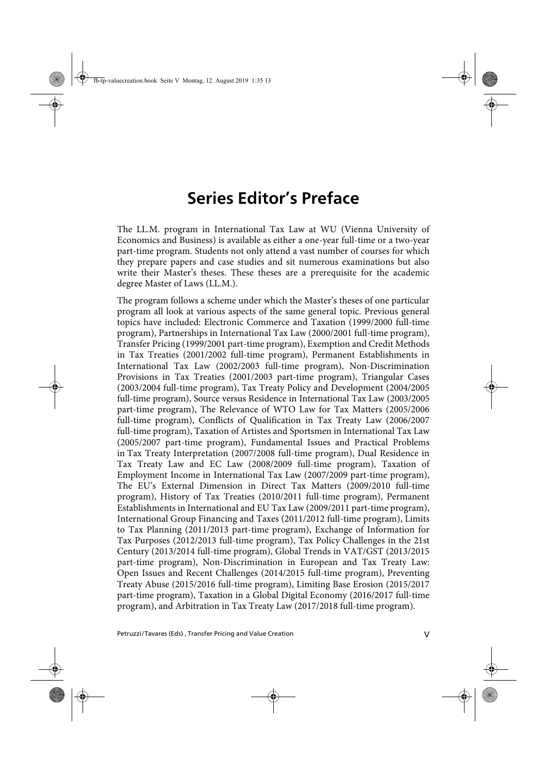## **Series Editor's Preface**

The LL.M. program in International Tax Law at WU (Vienna University of Economics and Business) is available as either a one-year full-time or a two-year part-time program. Students not only attend a vast number of courses for which they prepare papers and case studies and sit numerous examinations but also write their Master's theses. These theses are a prerequisite for the academic degree Master of Laws (LL.M.).

The program follows a scheme under which the Master's theses of one particular program all look at various aspects of the same general topic. Previous general topics have included: Electronic Commerce and Taxation (1999/2000 full-time program), Partnerships in International Tax Law (2000/2001 full-time program), Transfer Pricing (1999/2001 part-time program), Exemption and Credit Methods in Tax Treaties (2001/2002 full-time program), Permanent Establishments in International Tax Law (2002/2003 full-time program), Non-Discrimination Provisions in Tax Treaties (2001/2003 part-time program), Triangular Cases (2003/2004 full-time program), Tax Treaty Policy and Development (2004/2005 full-time program), Source versus Residence in International Tax Law (2003/2005 part-time program), The Relevance of WTO Law for Tax Matters (2005/2006 full-time program), Conflicts of Qualification in Tax Treaty Law (2006/2007 full-time program), Taxation of Artistes and Sportsmen in International Tax Law (2005/2007 part-time program), Fundamental Issues and Practical Problems in Tax Treaty Interpretation (2007/2008 full-time program), Dual Residence in Tax Treaty Law and EC Law (2008/2009 full-time program), Taxation of Employment Income in International Tax Law (2007/2009 part-time program), The EU's External Dimension in Direct Tax Matters (2009/2010 full-time program), History of Tax Treaties (2010/2011 full-time program), Permanent Establishments in International and EU Tax Law (2009/2011 part-time program), International Group Financing and Taxes (2011/2012 full-time program), Limits to Tax Planning (2011/2013 part-time program), Exchange of Information for Tax Purposes (2012/2013 full-time program), Tax Policy Challenges in the 21st Century (2013/2014 full-time program), Global Trends in VAT/GST (2013/2015 part-time program), Non-Discrimination in European and Tax Treaty Law: Open Issues and Recent Challenges (2014/2015 full-time program), Preventing Treaty Abuse (2015/2016 full-time program), Limiting Base Erosion (2015/2017 part-time program), Taxation in a Global Digital Economy (2016/2017 full-time program), and Arbitration in Tax Treaty Law (2017/2018 full-time program).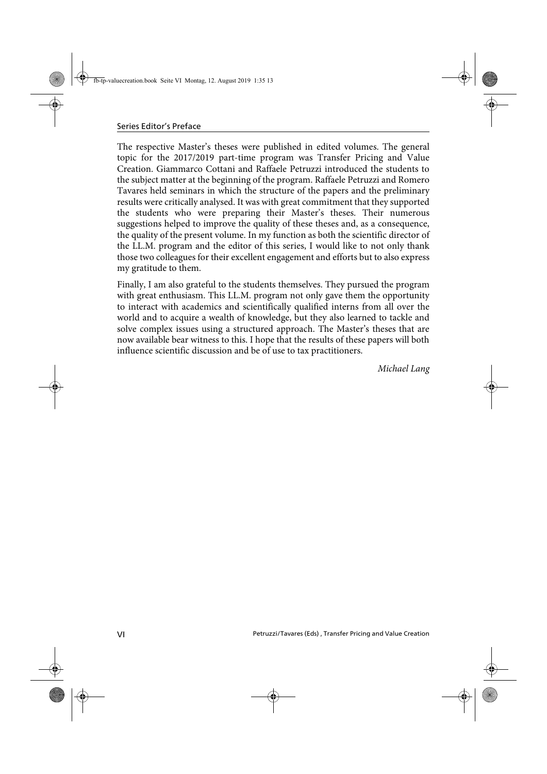The respective Master's theses were published in edited volumes. The general topic for the 2017/2019 part-time program was Transfer Pricing and Value Creation. Giammarco Cottani and Raffaele Petruzzi introduced the students to the subject matter at the beginning of the program. Raffaele Petruzzi and Romero Tavares held seminars in which the structure of the papers and the preliminary results were critically analysed. It was with great commitment that they supported the students who were preparing their Master's theses. Their numerous suggestions helped to improve the quality of these theses and, as a consequence, the quality of the present volume. In my function as both the scientific director of the LL.M. program and the editor of this series, I would like to not only thank those two colleagues for their excellent engagement and efforts but to also express my gratitude to them.

Finally, I am also grateful to the students themselves. They pursued the program with great enthusiasm. This LL.M. program not only gave them the opportunity to interact with academics and scientifically qualified interns from all over the world and to acquire a wealth of knowledge, but they also learned to tackle and solve complex issues using a structured approach. The Master's theses that are now available bear witness to this. I hope that the results of these papers will both influence scientific discussion and be of use to tax practitioners.

Michael Lang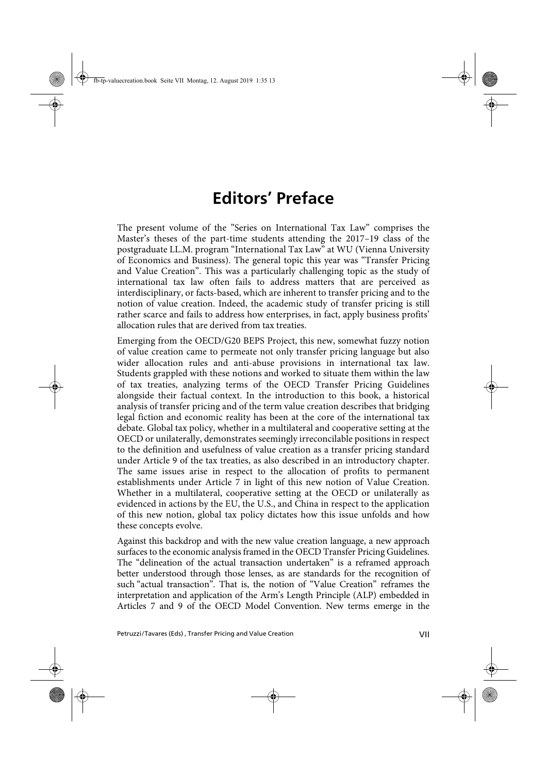## **Editors' Preface**

The present volume of the "Series on International Tax Law" comprises the Master's theses of the part-time students attending the 2017–19 class of the postgraduate LL.M. program "International Tax Law" at WU (Vienna University of Economics and Business). The general topic this year was "Transfer Pricing and Value Creation". This was a particularly challenging topic as the study of international tax law often fails to address matters that are perceived as interdisciplinary, or facts-based, which are inherent to transfer pricing and to the notion of value creation. Indeed, the academic study of transfer pricing is still rather scarce and fails to address how enterprises, in fact, apply business profits' allocation rules that are derived from tax treaties.

Emerging from the OECD/G20 BEPS Project, this new, somewhat fuzzy notion of value creation came to permeate not only transfer pricing language but also wider allocation rules and anti-abuse provisions in international tax law. Students grappled with these notions and worked to situate them within the law of tax treaties, analyzing terms of the OECD Transfer Pricing Guidelines alongside their factual context. In the introduction to this book, a historical analysis of transfer pricing and of the term value creation describes that bridging legal fiction and economic reality has been at the core of the international tax debate. Global tax policy, whether in a multilateral and cooperative setting at the OECD or unilaterally, demonstrates seemingly irreconcilable positions in respect to the definition and usefulness of value creation as a transfer pricing standard under Article 9 of the tax treaties, as also described in an introductory chapter. The same issues arise in respect to the allocation of profits to permanent establishments under Article 7 in light of this new notion of Value Creation. Whether in a multilateral, cooperative setting at the OECD or unilaterally as evidenced in actions by the EU, the U.S., and China in respect to the application of this new notion, global tax policy dictates how this issue unfolds and how these concepts evolve.

Against this backdrop and with the new value creation language, a new approach surfaces to the economic analysis framed in the OECD Transfer Pricing Guidelines. The "delineation of the actual transaction undertaken" is a reframed approach better understood through those lenses, as are standards for the recognition of such "actual transaction". That is, the notion of "Value Creation" reframes the interpretation and application of the Arm's Length Principle (ALP) embedded in Articles 7 and 9 of the OECD Model Convention. New terms emerge in the